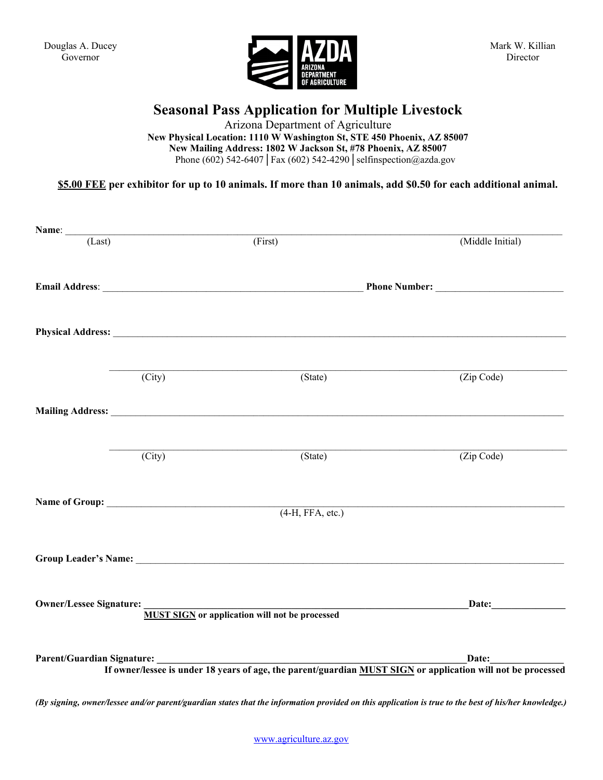Douglas A. Ducey Governor



## **Seasonal Pass Application for Multiple Livestock**

Arizona Department of Agriculture

**New Physical Location: 1110 W Washington St, STE 450 Phoenix, AZ 85007 New Mailing Address: 1802 W Jackson St, #78 Phoenix, AZ 85007** Phone (602) 542-6407**│**Fax (602) 542-4290**│**selfinspection@azda.gov

**\$5.00 FEE per exhibitor for up to 10 animals. If more than 10 animals, add \$0.50 for each additional animal.**

| Name: $(Last)$                    |                     |                                                                                                                                                                                                                                |                  |
|-----------------------------------|---------------------|--------------------------------------------------------------------------------------------------------------------------------------------------------------------------------------------------------------------------------|------------------|
|                                   |                     | (First)                                                                                                                                                                                                                        | (Middle Initial) |
|                                   |                     |                                                                                                                                                                                                                                |                  |
|                                   |                     |                                                                                                                                                                                                                                |                  |
|                                   |                     |                                                                                                                                                                                                                                |                  |
|                                   |                     |                                                                                                                                                                                                                                |                  |
|                                   |                     |                                                                                                                                                                                                                                |                  |
|                                   | (City)              | (State)                                                                                                                                                                                                                        | (Zip Code)       |
|                                   |                     |                                                                                                                                                                                                                                |                  |
|                                   |                     |                                                                                                                                                                                                                                |                  |
|                                   |                     |                                                                                                                                                                                                                                |                  |
|                                   | $\overline{(City)}$ | (State)                                                                                                                                                                                                                        | (Zip Code)       |
|                                   |                     |                                                                                                                                                                                                                                |                  |
|                                   |                     |                                                                                                                                                                                                                                |                  |
|                                   |                     | $(4-H, FFA, etc.)$                                                                                                                                                                                                             |                  |
|                                   |                     |                                                                                                                                                                                                                                |                  |
|                                   |                     | Group Leader's Name: Name: Name: Name: Name: Name: Name: Name: Name: Name: Name: Name: Name: Name: Name: Name: Name: Name: Name: Name: Name: Name: Name: Name: Name: Name: Name: Name: Name: Name: Name: Name: Name: Name: Nam |                  |
|                                   |                     |                                                                                                                                                                                                                                |                  |
|                                   |                     |                                                                                                                                                                                                                                |                  |
| Owner/Lessee Signature: _________ |                     | <b>MUST SIGN</b> or application will not be processed                                                                                                                                                                          | Date:            |
|                                   |                     |                                                                                                                                                                                                                                |                  |
|                                   |                     |                                                                                                                                                                                                                                |                  |
|                                   |                     | Date:<br>If owner/lessee is under 18 years of age, the parent/guardian MUST SIGN or application will not be processed                                                                                                          |                  |
|                                   |                     |                                                                                                                                                                                                                                |                  |

*(By signing, owner/lessee and/or parent/guardian states that the information provided on this application is true to the best of his/her knowledge.)*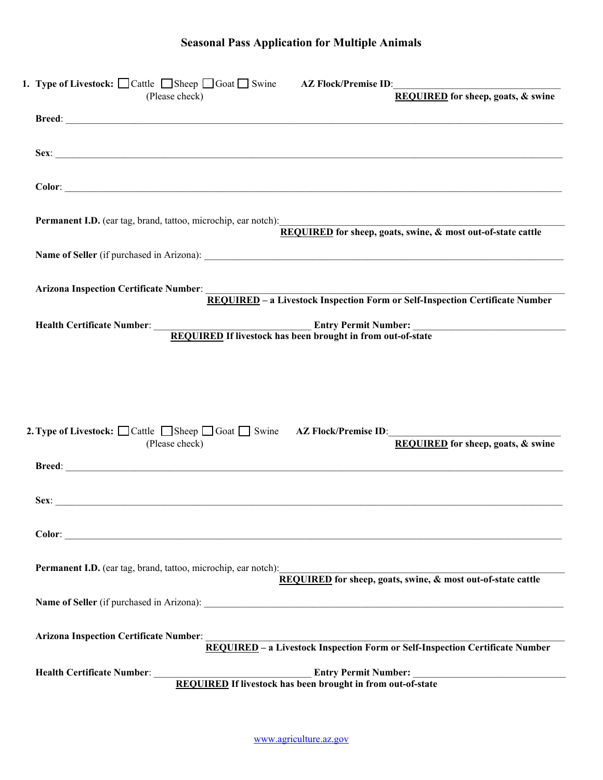| 1. Type of Livestock: $\Box$ Cattle $\Box$ Sheep $\Box$ Goat $\Box$ Swine AZ Flock/Premise ID:<br>REQUIRED for sheep, goats, & swine<br>(Please check) |
|--------------------------------------------------------------------------------------------------------------------------------------------------------|
|                                                                                                                                                        |
|                                                                                                                                                        |
|                                                                                                                                                        |
| <b>Permanent I.D.</b> (ear tag, brand, tattoo, microchip, ear notch):<br>REQUIRED for sheep, goats, swine, & most out-of-state cattle                  |
|                                                                                                                                                        |
| Arizona Inspection Certificate Number:<br>REQUIRED – a Livestock Inspection Form or Self-Inspection Certificate Number                                 |
| Health Certificate Number:<br>REQUIRED If livestock has been brought in from out-of-state                                                              |
|                                                                                                                                                        |
|                                                                                                                                                        |
| 2. Type of Livestock: □ Cattle □ Sheep □ Goat □ Swine AZ Flock/Premise ID:<br><b>REQUIRED</b> for sheep, goats, & swine<br>(Please check)              |
|                                                                                                                                                        |
|                                                                                                                                                        |
|                                                                                                                                                        |
|                                                                                                                                                        |
| Permanent I.D. (ear tag, brand, tattoo, microchip, ear notch):<br>REQUIRED for sheep, goats, swine, & most out-of-state cattle                         |
|                                                                                                                                                        |
| Arizona Inspection Certificate Number:<br>REQUIRED – a Livestock Inspection Form or Self-Inspection Certificate Number                                 |
| Health Certificate Number:<br>REQUIRED If livestock has been brought in from out-of-state                                                              |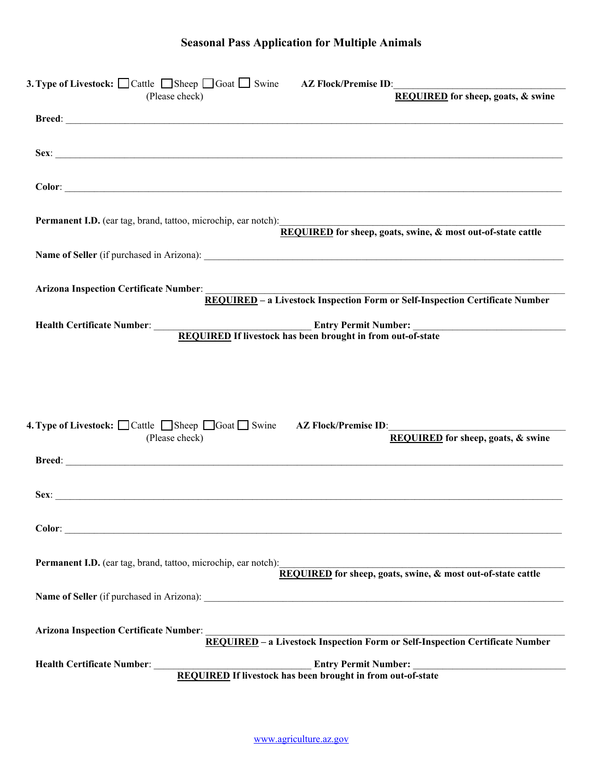| <b>3. Type of Livestock:</b> $\Box$ Cattle $\Box$ Sheep $\Box$ Goat $\Box$ Swine AZ Flock/Premise ID:<br><b>REQUIRED</b> for sheep, goats, & swine<br>(Please check)                                                           |
|--------------------------------------------------------------------------------------------------------------------------------------------------------------------------------------------------------------------------------|
|                                                                                                                                                                                                                                |
| Sex:                                                                                                                                                                                                                           |
|                                                                                                                                                                                                                                |
| <b>Permanent I.D.</b> (ear tag, brand, tattoo, microchip, ear notch):<br>REQUIRED for sheep, goats, swine, & most out-of-state cattle                                                                                          |
|                                                                                                                                                                                                                                |
| Arizona Inspection Certificate Number:<br>REQUIRED - a Livestock Inspection Form or Self-Inspection Certificate Number                                                                                                         |
| Health Certificate Number:<br>REQUIRED If livestock has been brought in from out-of-state                                                                                                                                      |
| 4. Type of Livestock: $\Box$ Cattle $\Box$ Sheep $\Box$ Goat $\Box$ Swine AZ Flock/Premise ID:<br><b>REQUIRED</b> for sheep, goats, & swine<br>(Please check)                                                                  |
|                                                                                                                                                                                                                                |
| Sex: The contract of the contract of the contract of the contract of the contract of the contract of the contract of the contract of the contract of the contract of the contract of the contract of the contract of the contr |
|                                                                                                                                                                                                                                |
| <b>Permanent I.D.</b> (ear tag, brand, tattoo, microchip, ear notch):<br><b>REQUIRED</b> for sheep, goats, swine, & most out-of-state cattle                                                                                   |
|                                                                                                                                                                                                                                |
| <b>Arizona Inspection Certificate Number:</b><br>REQUIRED - a Livestock Inspection Form or Self-Inspection Certificate Number                                                                                                  |
| Health Certificate Number: New York Contract of the Certificate Number:<br><b>REQUIRED</b> If livestock has been brought in from out-of-state                                                                                  |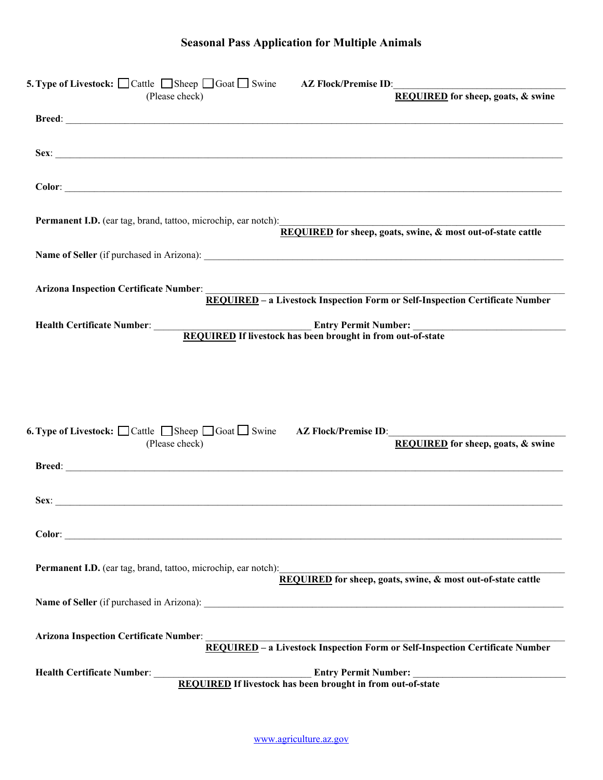| <b>5. Type of Livestock:</b> $\Box$ Cattle $\Box$ Sheep $\Box$ Goat $\Box$ Swine AZ Flock/Premise ID:<br>(Please check) | <b>REQUIRED</b> for sheep, goats, & swine                                                                                      |
|-------------------------------------------------------------------------------------------------------------------------|--------------------------------------------------------------------------------------------------------------------------------|
|                                                                                                                         |                                                                                                                                |
|                                                                                                                         |                                                                                                                                |
|                                                                                                                         |                                                                                                                                |
|                                                                                                                         |                                                                                                                                |
|                                                                                                                         |                                                                                                                                |
|                                                                                                                         | Permanent I.D. (ear tag, brand, tattoo, microchip, ear notch):<br>REQUIRED for sheep, goats, swine, & most out-of-state cattle |
|                                                                                                                         |                                                                                                                                |
|                                                                                                                         |                                                                                                                                |
|                                                                                                                         | Arizona Inspection Certificate Number:<br>REQUIRED – a Livestock Inspection Form or Self-Inspection Certificate Number         |
|                                                                                                                         |                                                                                                                                |
|                                                                                                                         | Health Certificate Number:<br>REQUIRED If livestock has been brought in from out-of-state                                      |
|                                                                                                                         |                                                                                                                                |
|                                                                                                                         |                                                                                                                                |
|                                                                                                                         |                                                                                                                                |
|                                                                                                                         |                                                                                                                                |
| <b>6. Type of Livestock:</b> $\Box$ Cattle $\Box$ Sheep $\Box$ Goat $\Box$ Swine AZ Flock/Premise ID:                   |                                                                                                                                |
| (Please check)                                                                                                          | <b>REQUIRED</b> for sheep, goats, & swine                                                                                      |
|                                                                                                                         |                                                                                                                                |
|                                                                                                                         |                                                                                                                                |
| Sex:                                                                                                                    |                                                                                                                                |
|                                                                                                                         |                                                                                                                                |
|                                                                                                                         |                                                                                                                                |
| <b>Permanent I.D.</b> (ear tag, brand, tattoo, microchip, ear notch):                                                   | <b>REQUIRED</b> for sheep, goats, swine, & most out-of-state cattle                                                            |
|                                                                                                                         |                                                                                                                                |
|                                                                                                                         |                                                                                                                                |
| <b>Arizona Inspection Certificate Number:</b>                                                                           |                                                                                                                                |
|                                                                                                                         | REQUIRED - a Livestock Inspection Form or Self-Inspection Certificate Number                                                   |
| Health Certificate Number:                                                                                              | Entry Permit Number:<br>REQUIRED If livestock has been brought in from out-of-state                                            |
|                                                                                                                         |                                                                                                                                |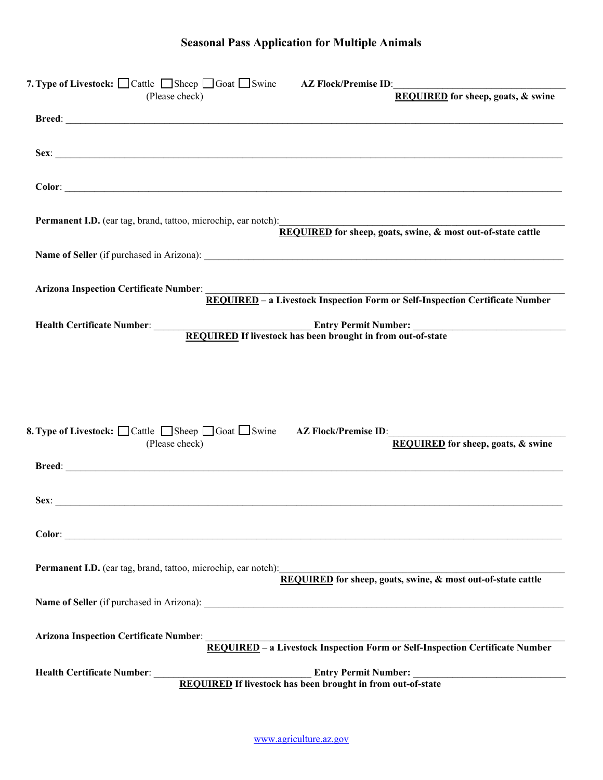| 7. Type of Livestock: $\Box$ Cattle $\Box$ Sheep $\Box$ Goat $\Box$ Swine AZ Flock/Premise ID:<br>(Please check)                                                                                                               | <b>REQUIRED</b> for sheep, goats, & swine                                                                              |
|--------------------------------------------------------------------------------------------------------------------------------------------------------------------------------------------------------------------------------|------------------------------------------------------------------------------------------------------------------------|
|                                                                                                                                                                                                                                |                                                                                                                        |
|                                                                                                                                                                                                                                |                                                                                                                        |
|                                                                                                                                                                                                                                |                                                                                                                        |
| Permanent I.D. (ear tag, brand, tattoo, microchip, ear notch):<br>REQUIRED for sheep, goats, swine, & most out-of-state cattle                                                                                                 |                                                                                                                        |
|                                                                                                                                                                                                                                |                                                                                                                        |
|                                                                                                                                                                                                                                | Arizona Inspection Certificate Number:<br>REQUIRED – a Livestock Inspection Form or Self-Inspection Certificate Number |
|                                                                                                                                                                                                                                | Health Certificate Number:<br>REQUIRED If livestock has been brought in from out-of-state                              |
|                                                                                                                                                                                                                                |                                                                                                                        |
|                                                                                                                                                                                                                                |                                                                                                                        |
| <b>8. Type of Livestock:</b> $\Box$ Cattle $\Box$ Sheep $\Box$ Goat $\Box$ Swine AZ Flock/Premise ID:<br>(Please check)                                                                                                        | <b>REQUIRED</b> for sheep, goats, & swine                                                                              |
| Breed: National Commission of the Commission of the Commission of the Commission of the Commission of the Commission of the Commission of the Commission of the Commission of the Commission of the Commission of the Commissi |                                                                                                                        |
| Sex:                                                                                                                                                                                                                           |                                                                                                                        |
|                                                                                                                                                                                                                                |                                                                                                                        |
| Permanent I.D. (ear tag, brand, tattoo, microchip, ear notch):<br>REQUIRED for sheep, goats, swine, & most out-of-state cattle                                                                                                 |                                                                                                                        |
|                                                                                                                                                                                                                                |                                                                                                                        |
|                                                                                                                                                                                                                                | Arizona Inspection Certificate Number:<br>REQUIRED – a Livestock Inspection Form or Self-Inspection Certificate Number |
|                                                                                                                                                                                                                                | Health Certificate Number:<br>REQUIRED If livestock has been brought in from out-of-state                              |
|                                                                                                                                                                                                                                |                                                                                                                        |